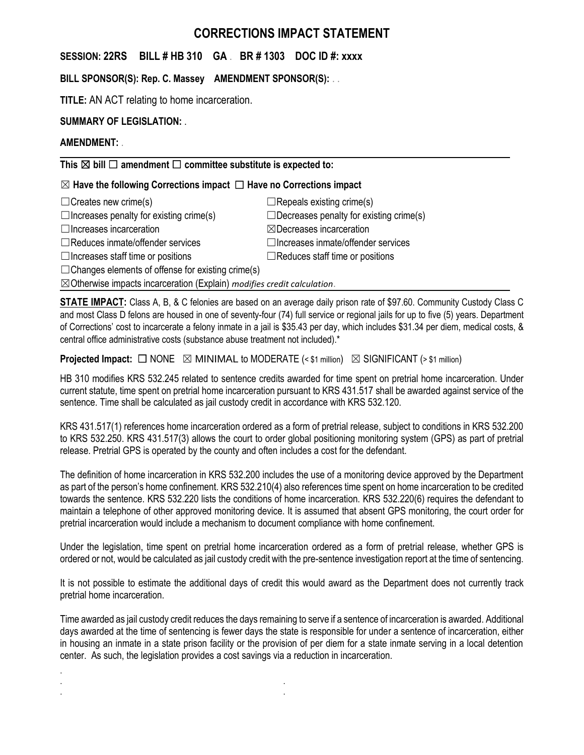# **CORRECTIONS IMPACT STATEMENT**

## **SESSION: 22RS BILL # HB 310 GA** . **BR # 1303 DOC ID #: xxxx**

**BILL SPONSOR(S): Rep. C. Massey AMENDMENT SPONSOR(S):** . .

**TITLE:** AN ACT relating to home incarceration.

# **SUMMARY OF LEGISLATION:** .

## **AMENDMENT:** .

.

**This** ☒ **bill** ☐ **amendment** ☐ **committee substitute is expected to:**

# ☒ **Have the following Corrections impact** ☐ **Have no Corrections impact**

| $\Box$ Repeals existing crime(s)               |
|------------------------------------------------|
| $\Box$ Decreases penalty for existing crime(s) |
| $\boxtimes$ Decreases incarceration            |
| $\Box$ Increases inmate/offender services      |
| $\Box$ Reduces staff time or positions         |
|                                                |

 $\Box$ Changes elements of offense for existing crime(s)

. . . .

☒Otherwise impacts incarceration (Explain) *modifies credit calculation*.

**STATE IMPACT:** Class A, B, & C felonies are based on an average daily prison rate of \$97.60. Community Custody Class C and most Class D felons are housed in one of seventy-four (74) full service or regional jails for up to five (5) years. Department of Corrections' cost to incarcerate a felony inmate in a jail is \$35.43 per day, which includes \$31.34 per diem, medical costs, & central office administrative costs (substance abuse treatment not included).\*

**Projected Impact:**  $\Box$  NONE  $\boxtimes$  MINIMAL to MODERATE (< \$1 million)  $\boxtimes$  SIGNIFICANT (> \$1 million)

HB 310 modifies KRS 532.245 related to sentence credits awarded for time spent on pretrial home incarceration. Under current statute, time spent on pretrial home incarceration pursuant to KRS 431.517 shall be awarded against service of the sentence. Time shall be calculated as jail custody credit in accordance with KRS 532.120.

KRS 431.517(1) references home incarceration ordered as a form of pretrial release, subject to conditions in KRS 532.200 to KRS 532.250. KRS 431.517(3) allows the court to order global positioning monitoring system (GPS) as part of pretrial release. Pretrial GPS is operated by the county and often includes a cost for the defendant.

The definition of home incarceration in KRS 532.200 includes the use of a monitoring device approved by the Department as part of the person's home confinement. KRS 532.210(4) also references time spent on home incarceration to be credited towards the sentence. KRS 532.220 lists the conditions of home incarceration. KRS 532.220(6) requires the defendant to maintain a telephone of other approved monitoring device. It is assumed that absent GPS monitoring, the court order for pretrial incarceration would include a mechanism to document compliance with home confinement.

Under the legislation, time spent on pretrial home incarceration ordered as a form of pretrial release, whether GPS is ordered or not, would be calculated as jail custody credit with the pre-sentence investigation report at the time of sentencing.

It is not possible to estimate the additional days of credit this would award as the Department does not currently track pretrial home incarceration.

Time awarded as jail custody credit reduces the days remaining to serve if a sentence of incarceration is awarded. Additional days awarded at the time of sentencing is fewer days the state is responsible for under a sentence of incarceration, either in housing an inmate in a state prison facility or the provision of per diem for a state inmate serving in a local detention center. As such, the legislation provides a cost savings via a reduction in incarceration.